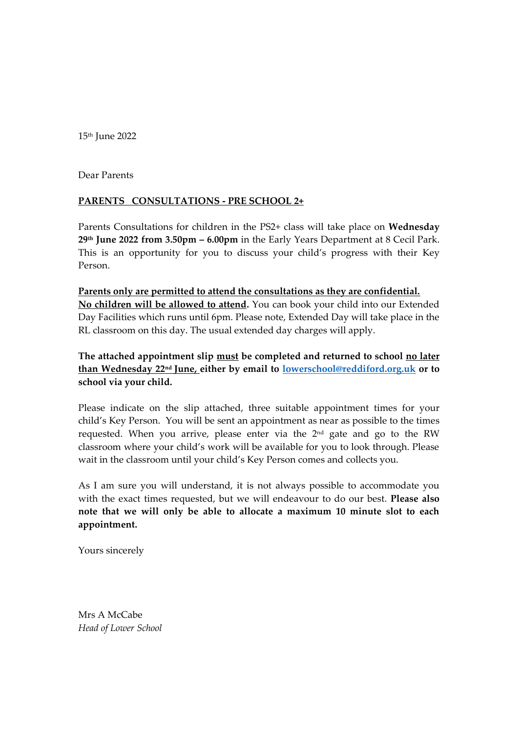15th June 2022

Dear Parents

## **PARENTS CONSULTATIONS - PRE SCHOOL 2+**

Parents Consultations for children in the PS2+ class will take place on **Wednesday 29 th June 2022 from 3.50pm – 6.00pm** in the Early Years Department at 8 Cecil Park. This is an opportunity for you to discuss your child's progress with their Key Person.

**Parents only are permitted to attend the consultations as they are confidential. No children will be allowed to attend.** You can book your child into our Extended Day Facilities which runs until 6pm. Please note, Extended Day will take place in the RL classroom on this day. The usual extended day charges will apply.

**The attached appointment slip must be completed and returned to school no later than Wednesday 22 nd June, either by email to [lowerschool@reddiford.org.uk](mailto:lowerschool@reddiford.org.uk) or to school via your child.** 

Please indicate on the slip attached, three suitable appointment times for your child's Key Person. You will be sent an appointment as near as possible to the times requested. When you arrive, please enter via the 2<sup>nd</sup> gate and go to the RW classroom where your child's work will be available for you to look through. Please wait in the classroom until your child's Key Person comes and collects you.

As I am sure you will understand, it is not always possible to accommodate you with the exact times requested, but we will endeavour to do our best. **Please also note that we will only be able to allocate a maximum 10 minute slot to each appointment.**

Yours sincerely

Mrs A McCabe *Head of Lower School*